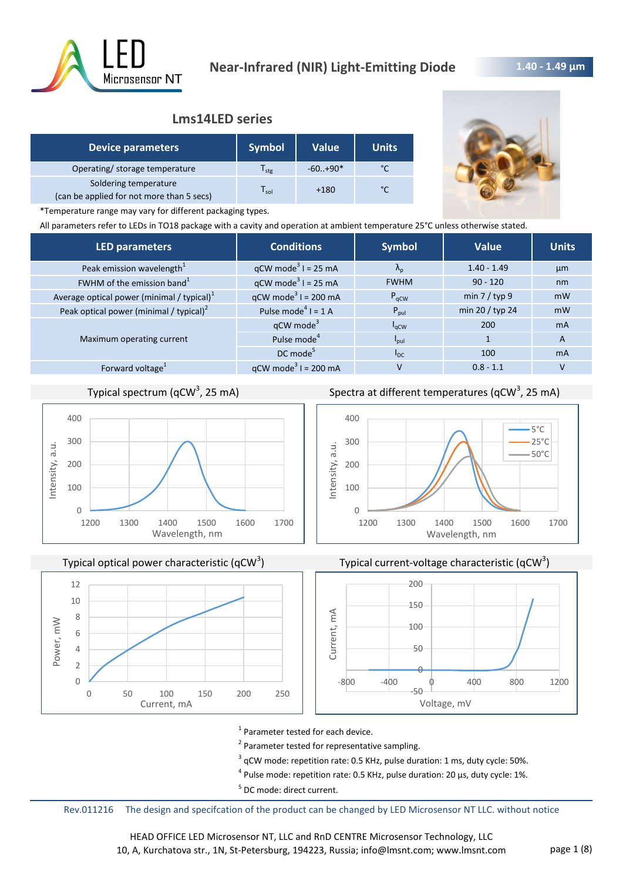

# **1.40 - 1.49 μm**

# **Lms14LED series**

| <b>Device parameters</b>                                           | <b>Symbol</b>    | <b>Value</b> | <b>Units</b> |
|--------------------------------------------------------------------|------------------|--------------|--------------|
| Operating/ storage temperature                                     | l <sub>stg</sub> | $-60+90*$    |              |
| Soldering temperature<br>(can be applied for not more than 5 secs) | l sol            | $+180$       | $\sim$       |



\*Temperature range may vary for different packaging types.

All parameters refer to LEDs in TO18 package with a cavity and operation at ambient temperature 25°C unless otherwise stated.

| <b>LED parameters</b>                         | <b>Conditions</b>                      | <b>Symbol</b>     | <b>Value</b>    | <b>Units</b> |
|-----------------------------------------------|----------------------------------------|-------------------|-----------------|--------------|
| Peak emission wavelength <sup>1</sup>         | $qCW \text{ mode}^3 I = 25 \text{ mA}$ | $\Lambda_{\rm p}$ | $1.40 - 1.49$   | µm           |
| FWHM of the emission band <sup>1</sup>        | $qCW \text{ mode}^3$ I = 25 mA         | <b>FWHM</b>       | $90 - 120$      | nm           |
| Average optical power (minimal / typical) $1$ | $qCW \text{ mode}^3$ I = 200 mA        | $P_{\text{aCW}}$  | min $7 /$ typ 9 | mW           |
| Peak optical power (minimal / typical) $2$    | Pulse mode <sup>4</sup> $I = 1$ A      | $P_{\text{pul}}$  | min 20 / typ 24 | mW           |
|                                               | $qCW \text{ mode}^3$                   | $I_{\rm qCW}$     | 200             | <b>mA</b>    |
| Maximum operating current                     | Pulse mode <sup>4</sup>                | $I_{\text{pul}}$  |                 | A            |
|                                               | DC mode <sup>5</sup>                   | $I_{DC}$          | 100             | <b>mA</b>    |
| Forward voltage <sup>1</sup>                  | $qCW \text{ mode}^3$ I = 200 mA        | v                 | $0.8 - 1.1$     |              |
|                                               |                                        |                   |                 |              |

# Typical spectrum (qCW<sup>3</sup>, 25 mA)



Typical optical power characteristic (qCW<sup>3</sup>)



Spectra at different temperatures (qCW<sup>3</sup>, 25 mA)







<sup>1</sup> Parameter tested for each device.

<sup>2</sup> Parameter tested for representative sampling.

 $3$  qCW mode: repetition rate: 0.5 KHz, pulse duration: 1 ms, duty cycle: 50%.

 $^4$  Pulse mode: repetition rate: 0.5 KHz, pulse duration: 20 µs, duty cycle: 1%.

<sup>5</sup> DC mode: direct current.

Rev.011216 The design and specifcation of the product can be changed by LED Microsensor NT LLC. without notice

HEAD OFFICE LED Microsensor NT, LLC and RnD CENTRE Microsensor Technology, LLC 10, A, Kurchatova str., 1N, St-Petersburg, 194223, Russia; info@lmsnt.com; www.lmsnt.com page 1 (8)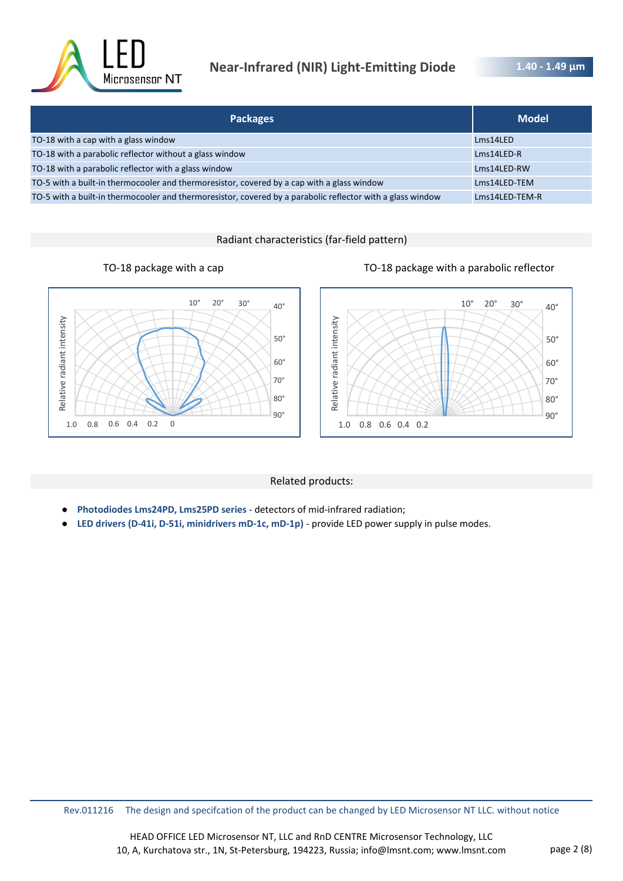

# **Near-Infrared (NIR) Light-Emitting Diode**

**1.40 - 1.49 μm** 

| <b>Packages</b>                                                                                            | <b>Model</b>   |
|------------------------------------------------------------------------------------------------------------|----------------|
| TO-18 with a cap with a glass window                                                                       | Lms14LED       |
| TO-18 with a parabolic reflector without a glass window                                                    | Lms14LED-R     |
| TO-18 with a parabolic reflector with a glass window                                                       | Lms14LED-RW    |
| TO-5 with a built-in thermocooler and thermoresistor, covered by a cap with a glass window                 | Lms14LED-TEM   |
| TO-5 with a built-in thermocooler and thermoresistor, covered by a parabolic reflector with a glass window | Lms14LED-TEM-R |

# Radiant characteristics (far-field pattern)





# Related products:

- **Photodiodes Lms24PD, Lms25PD series**  detectors of mid-infrared radiation;
- **LED drivers (D-41i, D-51i, minidrivers mD-1c, mD-1p)**  provide LED power supply in pulse modes.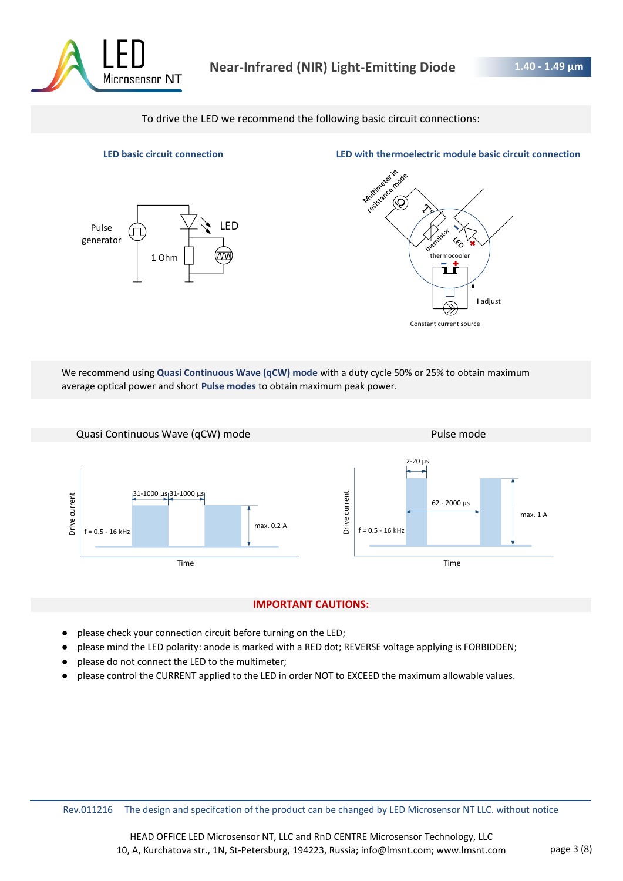

To drive the LED we recommend the following basic circuit connections:





We recommend using **Quasi Continuous Wave (qCW) mode** with a duty cycle 50% or 25% to obtain maximum average optical power and short **Pulse modes** to obtain maximum peak power.



# **IMPORTANT CAUTIONS:**

- please check your connection circuit before turning on the LED;
- please mind the LED polarity: anode is marked with a RED dot; REVERSE voltage applying is FORBIDDEN;
- please do not connect the LED to the multimeter;
- please control the CURRENT applied to the LED in order NOT to EXCEED the maximum allowable values.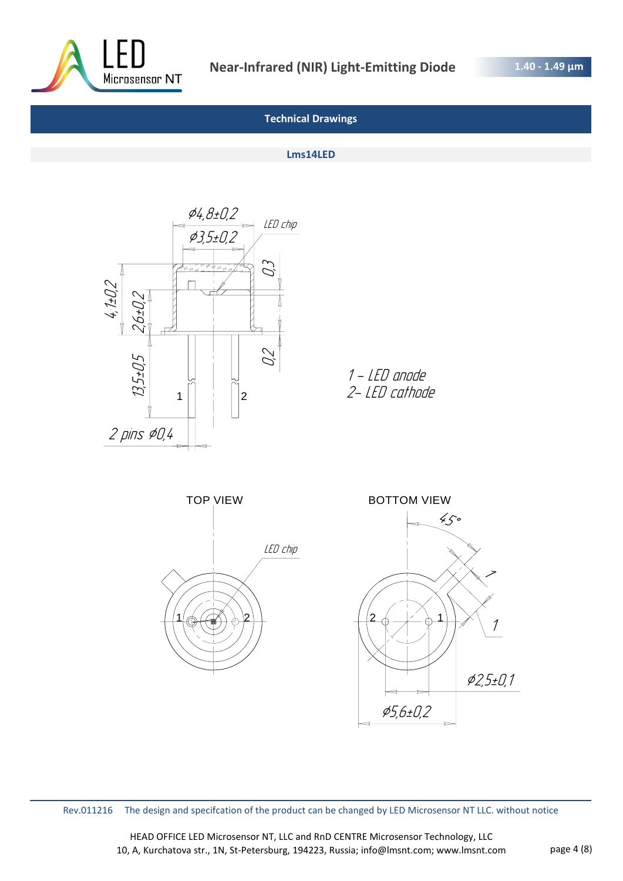

# **Technical Drawings**

#### **Lms14LED**





Rev.011216 The design and specifcation of the product can be changed by LED Microsensor NT LLC. without notice

HEAD OFFICE LED Microsensor NT, LLC and RnD CENTRE Microsensor Technology, LLC 10, A, Kurchatova str., 1N, St-Petersburg, 194223, Russia; info@lmsnt.com; www.lmsnt.com page 4 (8)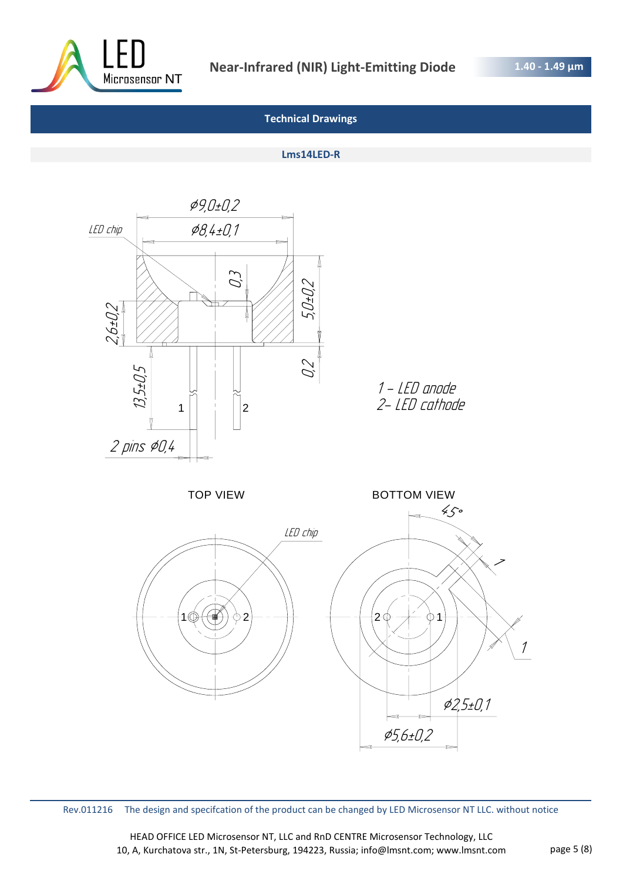

**1.40 - 1.49 μm** 

# **Technical Drawings**

#### **Lms14LED-R**



Rev.011216 The design and specifcation of the product can be changed by LED Microsensor NT LLC. without notice

HEAD OFFICE LED Microsensor NT, LLC and RnD CENTRE Microsensor Technology, LLC 10, A, Kurchatova str., 1N, St-Petersburg, 194223, Russia; info@lmsnt.com; www.lmsnt.com page 5 (8)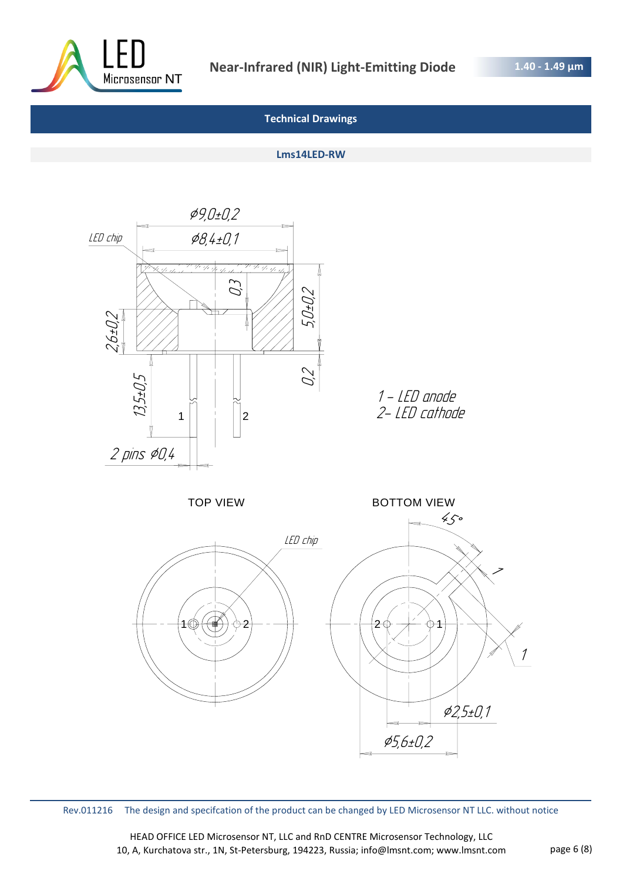

**1.40 - 1.49 μm** 

# **Technical Drawings**

#### **Lms14LED-RW**



Rev.011216 The design and specifcation of the product can be changed by LED Microsensor NT LLC. without notice

HEAD OFFICE LED Microsensor NT, LLC and RnD CENTRE Microsensor Technology, LLC 10, A, Kurchatova str., 1N, St-Petersburg, 194223, Russia; info@lmsnt.com; www.lmsnt.com page 6 (8)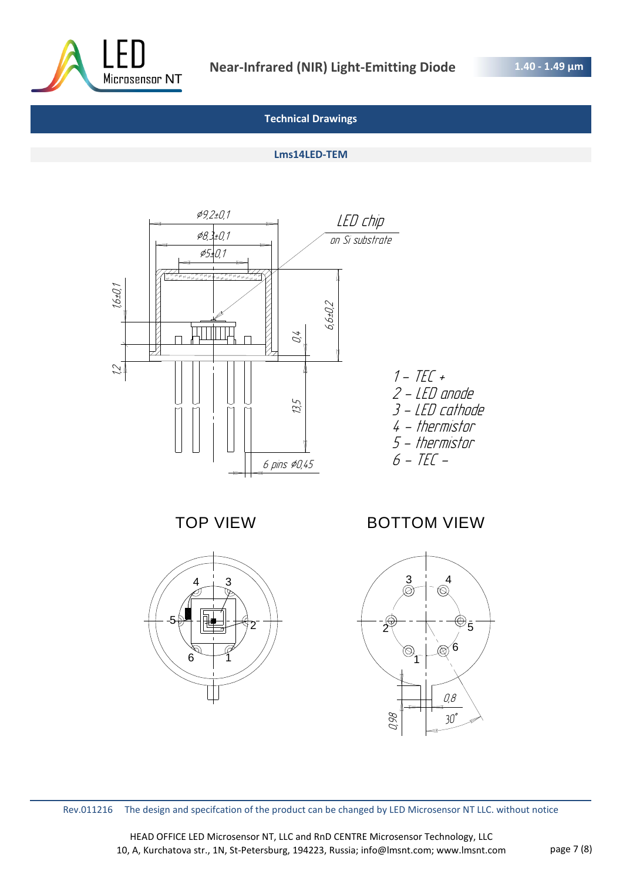

# **Technical Drawings**

# **Lms14LED-TEM**



TOP VIEW



# BOTTOM VIEW



Rev.011216 The design and specifcation of the product can be changed by LED Microsensor NT LLC. without notice

HEAD OFFICE LED Microsensor NT, LLC and RnD CENTRE Microsensor Technology, LLC 10, A, Kurchatova str., 1N, St-Petersburg, 194223, Russia; info@lmsnt.com; www.lmsnt.com page 7 (8)